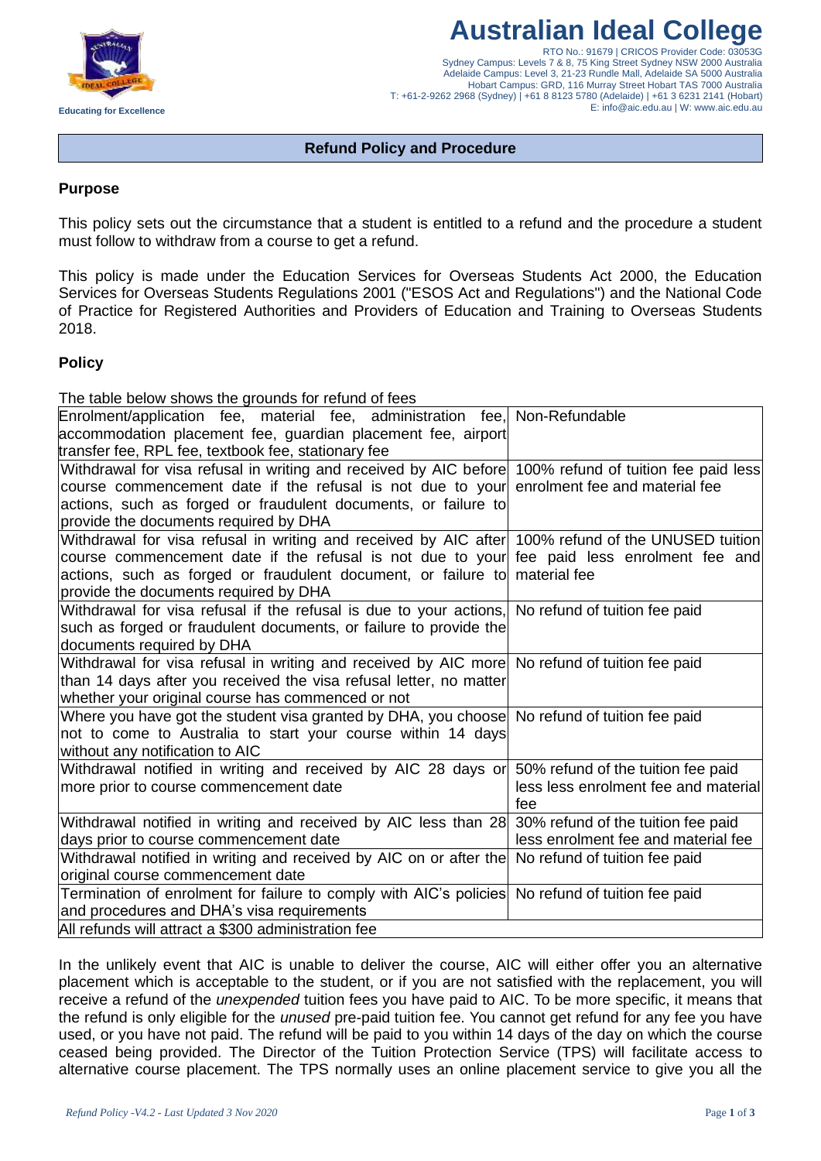

# **Australian Ideal College**

RTO No.: 91679 | CRICOS Provider Code: 03053G Sydney Campus: Levels 7 & 8, 75 King Street Sydney NSW 2000 Australia Adelaide Campus: Level 3, 21-23 Rundle Mall, Adelaide SA 5000 Australia Hobart Campus: GRD, 116 Murray Street Hobart TAS 7000 Australia T: +61-2-9262 2968 (Sydney) | +61 8 8123 5780 (Adelaide) | +61 3 6231 2141 (Hobart) E: info@aic.edu.au | W: www.aic.edu.au

# **Refund Policy and Procedure**

# **Purpose**

This policy sets out the circumstance that a student is entitled to a refund and the procedure a student must follow to withdraw from a course to get a refund.

This policy is made under the Education Services for Overseas Students Act 2000, the Education Services for Overseas Students Regulations 2001 ("ESOS Act and Regulations") and the National Code of Practice for Registered Authorities and Providers of Education and Training to Overseas Students 2018.

# **Policy**

The table below shows the grounds for refund of fees

| Enrolment/application fee, material fee, administration fee, Non-Refundable                            |                                      |
|--------------------------------------------------------------------------------------------------------|--------------------------------------|
| accommodation placement fee, guardian placement fee, airport                                           |                                      |
| transfer fee, RPL fee, textbook fee, stationary fee                                                    |                                      |
| Withdrawal for visa refusal in writing and received by AIC before 100% refund of tuition fee paid less |                                      |
| course commencement date if the refusal is not due to your enrolment fee and material fee              |                                      |
| actions, such as forged or fraudulent documents, or failure to                                         |                                      |
| provide the documents required by DHA                                                                  |                                      |
| Withdrawal for visa refusal in writing and received by AIC after 100% refund of the UNUSED tuition     |                                      |
| course commencement date if the refusal is not due to your fee paid less enrolment fee and             |                                      |
| actions, such as forged or fraudulent document, or failure to material fee                             |                                      |
| provide the documents required by DHA                                                                  |                                      |
| Withdrawal for visa refusal if the refusal is due to your actions, No refund of tuition fee paid       |                                      |
| such as forged or fraudulent documents, or failure to provide the                                      |                                      |
| documents required by DHA                                                                              |                                      |
| Withdrawal for visa refusal in writing and received by AIC more No refund of tuition fee paid          |                                      |
| than 14 days after you received the visa refusal letter, no matter                                     |                                      |
| whether your original course has commenced or not                                                      |                                      |
| Where you have got the student visa granted by DHA, you choose No refund of tuition fee paid           |                                      |
| not to come to Australia to start your course within 14 days                                           |                                      |
| without any notification to AIC                                                                        |                                      |
| Withdrawal notified in writing and received by AIC 28 days or 50% refund of the tuition fee paid       |                                      |
| more prior to course commencement date                                                                 | less less enrolment fee and material |
|                                                                                                        | fee                                  |
| Withdrawal notified in writing and received by AIC less than 28 30% refund of the tuition fee paid     |                                      |
| days prior to course commencement date                                                                 | less enrolment fee and material fee  |
| Withdrawal notified in writing and received by AIC on or after the No refund of tuition fee paid       |                                      |
| original course commencement date                                                                      |                                      |
| Termination of enrolment for failure to comply with AIC's policies No refund of tuition fee paid       |                                      |
| and procedures and DHA's visa requirements                                                             |                                      |
| All refunds will attract a \$300 administration fee                                                    |                                      |

In the unlikely event that AIC is unable to deliver the course, AIC will either offer you an alternative placement which is acceptable to the student, or if you are not satisfied with the replacement, you will receive a refund of the *unexpended* tuition fees you have paid to AIC. To be more specific, it means that the refund is only eligible for the *unused* pre-paid tuition fee. You cannot get refund for any fee you have used, or you have not paid. The refund will be paid to you within 14 days of the day on which the course ceased being provided. The Director of the Tuition Protection Service (TPS) will facilitate access to alternative course placement. The TPS normally uses an online placement service to give you all the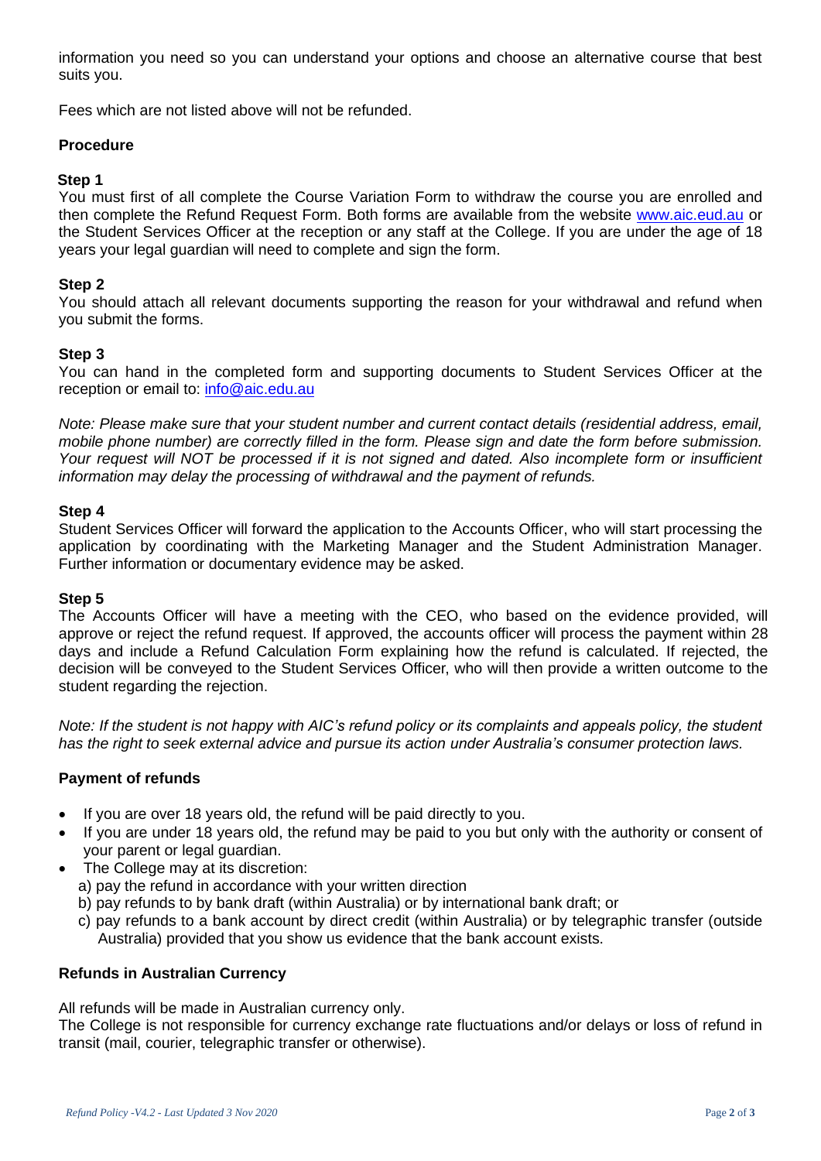information you need so you can understand your options and choose an alternative course that best suits you.

Fees which are not listed above will not be refunded.

# **Procedure**

#### **Step 1**

You must first of all complete the Course Variation Form to withdraw the course you are enrolled and then complete the Refund Request Form. Both forms are available from the website [www.aic.eud.au](http://www.aic.eud.au/) or the Student Services Officer at the reception or any staff at the College. If you are under the age of 18 years your legal guardian will need to complete and sign the form.

### **Step 2**

You should attach all relevant documents supporting the reason for your withdrawal and refund when you submit the forms.

# **Step 3**

You can hand in the completed form and supporting documents to Student Services Officer at the reception or email to: [info@aic.edu.au](mailto:info@aic.edu.au)

*Note: Please make sure that your student number and current contact details (residential address, email, mobile phone number) are correctly filled in the form. Please sign and date the form before submission. Your request will NOT be processed if it is not signed and dated. Also incomplete form or insufficient information may delay the processing of withdrawal and the payment of refunds.*

# **Step 4**

Student Services Officer will forward the application to the Accounts Officer, who will start processing the application by coordinating with the Marketing Manager and the Student Administration Manager. Further information or documentary evidence may be asked.

# **Step 5**

The Accounts Officer will have a meeting with the CEO, who based on the evidence provided, will approve or reject the refund request. If approved, the accounts officer will process the payment within 28 days and include a Refund Calculation Form explaining how the refund is calculated. If rejected, the decision will be conveyed to the Student Services Officer, who will then provide a written outcome to the student regarding the rejection.

*Note: If the student is not happy with AIC's refund policy or its complaints and appeals policy, the student has the right to seek external advice and pursue its action under Australia's consumer protection laws.* 

# **Payment of refunds**

- If you are over 18 years old, the refund will be paid directly to you.
- If you are under 18 years old, the refund may be paid to you but only with the authority or consent of your parent or legal guardian.
- The College may at its discretion:
	- a) pay the refund in accordance with your written direction
	- b) pay refunds to by bank draft (within Australia) or by international bank draft; or
	- c) pay refunds to a bank account by direct credit (within Australia) or by telegraphic transfer (outside Australia) provided that you show us evidence that the bank account exists.

#### **Refunds in Australian Currency**

All refunds will be made in Australian currency only.

The College is not responsible for currency exchange rate fluctuations and/or delays or loss of refund in transit (mail, courier, telegraphic transfer or otherwise).